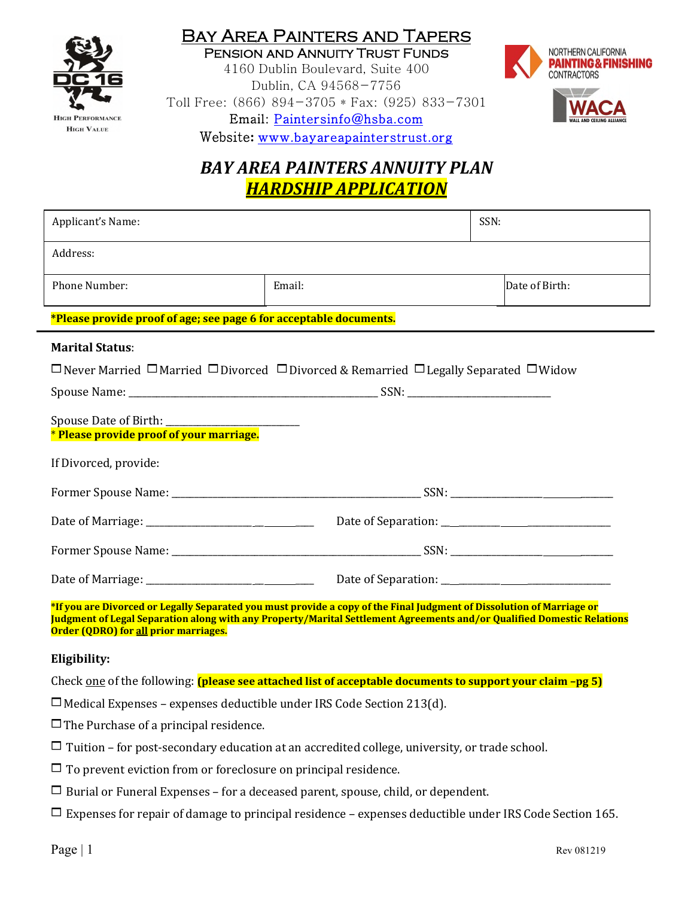

Pension and Annuity Trust Funds 4160 Dublin Boulevard, Suite 400 Dublin, CA 94568-7756 Toll Free: (866) 894-3705 \* Fax: (925) 833-7301 Email: Paintersinfo@hsba.com



Website**:** www.bayareapainterstrust.org

# *BAY AREA PAINTERS ANNUITY PLAN HARDSHIP APPLICATION*

| Applicant's Name:                                                                                                                                                                                                                                      |        | SSN: |                |  |  |
|--------------------------------------------------------------------------------------------------------------------------------------------------------------------------------------------------------------------------------------------------------|--------|------|----------------|--|--|
| Address:                                                                                                                                                                                                                                               |        |      |                |  |  |
| <b>Phone Number:</b>                                                                                                                                                                                                                                   | Email: |      | Date of Birth: |  |  |
| *Please provide proof of age; see page 6 for acceptable documents.                                                                                                                                                                                     |        |      |                |  |  |
| <b>Marital Status:</b><br>$\Box$ Never Married $\Box$ Married $\Box$ Divorced $\Box$ Divorced & Remarried $\Box$ Legally Separated $\Box$ Widow<br>* Please provide proof of your marriage.                                                            |        |      |                |  |  |
| If Divorced, provide:                                                                                                                                                                                                                                  |        |      |                |  |  |
| Date of Marriage: __________________________________Date of Separation: ____________________________                                                                                                                                                   |        |      |                |  |  |
|                                                                                                                                                                                                                                                        |        |      |                |  |  |
|                                                                                                                                                                                                                                                        |        |      |                |  |  |
| *If you are Divorced or Legally Separated you must provide a copy of the Final Judgment of Dissolution of Marriage or<br><u>Iudgment of Legal Separation along with any Property/Marital Settlement Agreements and/or Qualified Domestic Relations</u> |        |      |                |  |  |

**Judgment of Legal Separation along with any Property/Marital Settlement Agreements and/or Qualified Domestic Relations Order (QDRO) for all prior marriages.** 

### **Eligibility:**

Check one of the following: **(please see attached list of acceptable documents to support your claim –pg 5)**

 $\Box$  Medical Expenses – expenses deductible under IRS Code Section 213(d).

 $\Box$  The Purchase of a principal residence.

- $\Box$  Tuition for post-secondary education at an accredited college, university, or trade school.
- $\Box$  To prevent eviction from or foreclosure on principal residence.
- $\Box$  Burial or Funeral Expenses for a deceased parent, spouse, child, or dependent.

 $\Box$  Expenses for repair of damage to principal residence – expenses deductible under IRS Code Section 165.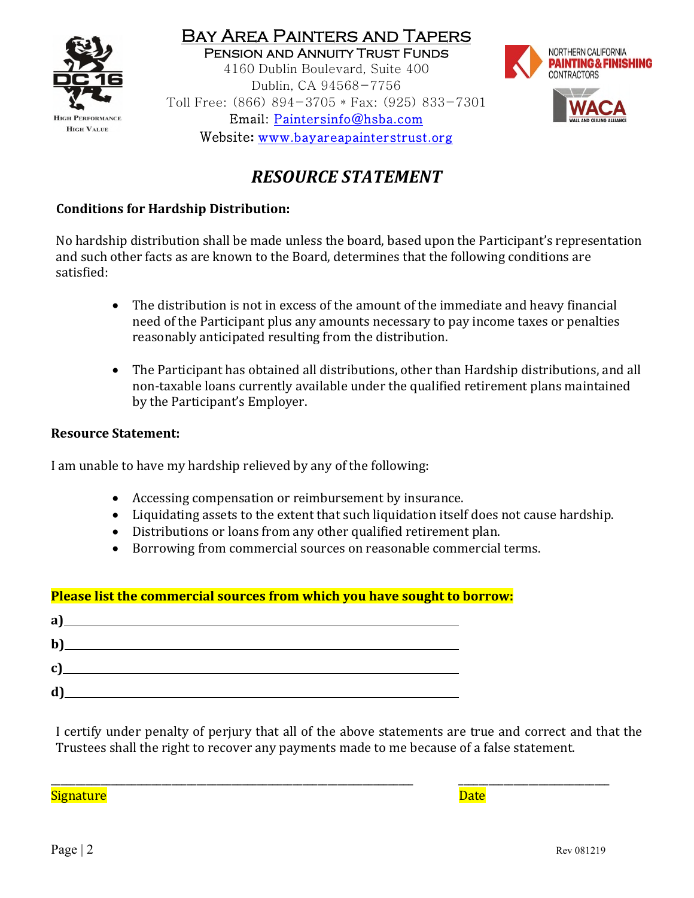

Pension and Annuity Trust Funds 4160 Dublin Boulevard, Suite 400 Dublin, CA 94568-7756 Toll Free: (866) 894-3705 \* Fax: (925) 833-7301 Email: Paintersinfo@hsba.com Website**:** www.bayareapainterstrust.org



# *RESOURCE STATEMENT*

### **Conditions for Hardship Distribution:**

No hardship distribution shall be made unless the board, based upon the Participant's representation and such other facts as are known to the Board, determines that the following conditions are satisfied:

- The distribution is not in excess of the amount of the immediate and heavy financial need of the Participant plus any amounts necessary to pay income taxes or penalties reasonably anticipated resulting from the distribution.
- The Participant has obtained all distributions, other than Hardship distributions, and all non-taxable loans currently available under the qualified retirement plans maintained by the Participant's Employer.

### **Resource Statement:**

I am unable to have my hardship relieved by any of the following:

- Accessing compensation or reimbursement by insurance.
- Liquidating assets to the extent that such liquidation itself does not cause hardship.
- Distributions or loans from any other qualified retirement plan.
- Borrowing from commercial sources on reasonable commercial terms.

### **Please list the commercial sources from which you have sought to borrow:**

| a            |  |
|--------------|--|
| $b$          |  |
| $\mathbf{C}$ |  |
| ď            |  |

I certify under penalty of perjury that all of the above statements are true and correct and that the Trustees shall the right to recover any payments made to me because of a false statement.

\_\_\_\_\_\_\_\_\_\_\_\_\_\_\_\_\_\_\_\_\_\_\_\_\_\_\_\_\_\_\_\_\_\_\_\_\_\_\_\_\_\_\_\_\_\_\_\_\_\_\_\_\_\_\_\_\_\_\_\_\_\_\_\_\_\_\_\_\_\_\_\_ \_\_\_\_\_\_\_\_\_\_\_\_\_\_\_\_\_\_\_\_\_\_\_\_\_\_\_\_\_\_

Signature **Date**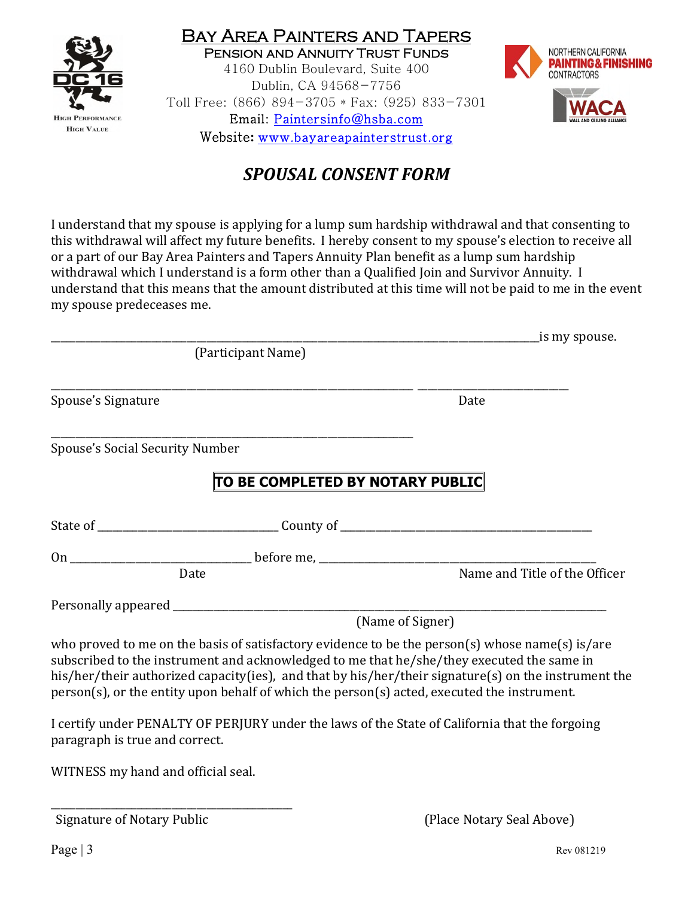

Bay Area Painters and Tapers Pension and Annuity Trust Funds 4160 Dublin Boulevard, Suite 400 Dublin, CA 94568-7756 Toll Free: (866) 894-3705 \* Fax: (925) 833-7301 Email: Paintersinfo@hsba.com Website**:** www.bayareapainterstrust.org



## *SPOUSAL CONSENT FORM*

I understand that my spouse is applying for a lump sum hardship withdrawal and that consenting to this withdrawal will affect my future benefits. I hereby consent to my spouse's election to receive all or a part of our Bay Area Painters and Tapers Annuity Plan benefit as a lump sum hardship withdrawal which I understand is a form other than a Qualified Join and Survivor Annuity. I understand that this means that the amount distributed at this time will not be paid to me in the event my spouse predeceases me.

|                                        |                                                                                             | is my spouse.                                                                                                                                                                                                                                                                                        |  |  |  |
|----------------------------------------|---------------------------------------------------------------------------------------------|------------------------------------------------------------------------------------------------------------------------------------------------------------------------------------------------------------------------------------------------------------------------------------------------------|--|--|--|
|                                        | (Participant Name)                                                                          |                                                                                                                                                                                                                                                                                                      |  |  |  |
| Spouse's Signature                     |                                                                                             | Date                                                                                                                                                                                                                                                                                                 |  |  |  |
| <b>Spouse's Social Security Number</b> |                                                                                             |                                                                                                                                                                                                                                                                                                      |  |  |  |
|                                        | TO BE COMPLETED BY NOTARY PUBLIC                                                            |                                                                                                                                                                                                                                                                                                      |  |  |  |
|                                        |                                                                                             |                                                                                                                                                                                                                                                                                                      |  |  |  |
|                                        |                                                                                             |                                                                                                                                                                                                                                                                                                      |  |  |  |
|                                        | Date                                                                                        | Name and Title of the Officer                                                                                                                                                                                                                                                                        |  |  |  |
|                                        |                                                                                             |                                                                                                                                                                                                                                                                                                      |  |  |  |
|                                        | (Name of Signer)                                                                            |                                                                                                                                                                                                                                                                                                      |  |  |  |
|                                        | person(s), or the entity upon behalf of which the person(s) acted, executed the instrument. | who proved to me on the basis of satisfactory evidence to be the person(s) whose name(s) is/are<br>subscribed to the instrument and acknowledged to me that he/she/they executed the same in<br>his/her/their authorized capacity(ies), and that by his/her/their signature(s) on the instrument the |  |  |  |
| paragraph is true and correct.         |                                                                                             | I certify under PENALTY OF PERJURY under the laws of the State of California that the forgoing                                                                                                                                                                                                       |  |  |  |

WITNESS my hand and official seal.

\_\_\_\_\_\_\_\_\_\_\_\_\_\_\_\_\_\_\_\_\_\_\_\_\_\_\_\_\_\_\_\_\_\_\_\_\_\_\_\_\_\_\_\_\_\_\_\_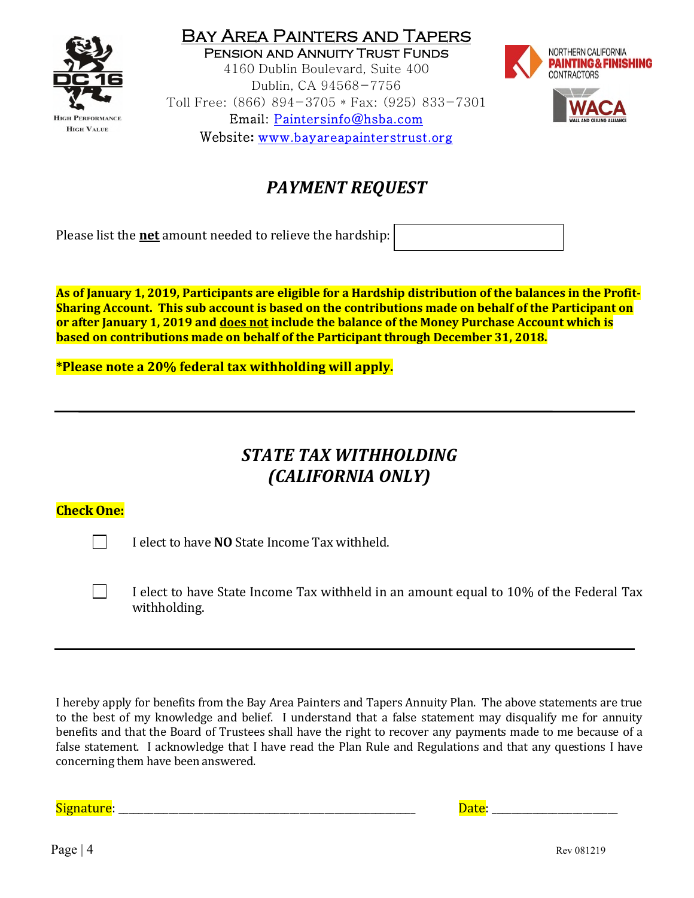

Pension and Annuity Trust Funds 4160 Dublin Boulevard, Suite 400 Dublin, CA 94568-7756 Toll Free: (866) 894-3705 \* Fax: (925) 833-7301 Email: Paintersinfo@hsba.com Website**:** www.bayareapainterstrust.org



# *PAYMENT REQUEST*

Please list the **net** amount needed to relieve the hardship:

**As of January 1, 2019, Participants are eligible for a Hardship distribution of the balances in the Profit-Sharing Account. This sub account is based on the contributions made on behalf of the Participant on or after January 1, 2019 and does not include the balance of the Money Purchase Account which is based on contributions made on behalf of the Participant through December 31, 2018.** 

**\*Please note a 20% federal tax withholding will apply.** 

# *STATE TAX WITHHOLDING (CALIFORNIA ONLY)*

### **Check One:**

I elect to have **NO** State Income Tax withheld.

 I elect to have State Income Tax withheld in an amount equal to 10% of the Federal Tax withholding.

I hereby apply for benefits from the Bay Area Painters and Tapers Annuity Plan. The above statements are true to the best of my knowledge and belief. I understand that a false statement may disqualify me for annuity benefits and that the Board of Trustees shall have the right to recover any payments made to me because of a false statement. I acknowledge that I have read the Plan Rule and Regulations and that any questions I have concerning them have been answered.

Signature: \_\_\_\_\_\_\_\_\_\_\_\_\_\_\_\_\_\_\_\_\_\_\_\_\_\_\_\_\_\_\_\_\_\_\_\_\_\_\_\_\_\_\_\_\_\_\_\_\_\_\_\_\_\_\_\_\_\_\_ Date: \_\_\_\_\_\_\_\_\_\_\_\_\_\_\_\_\_\_\_\_\_\_\_\_\_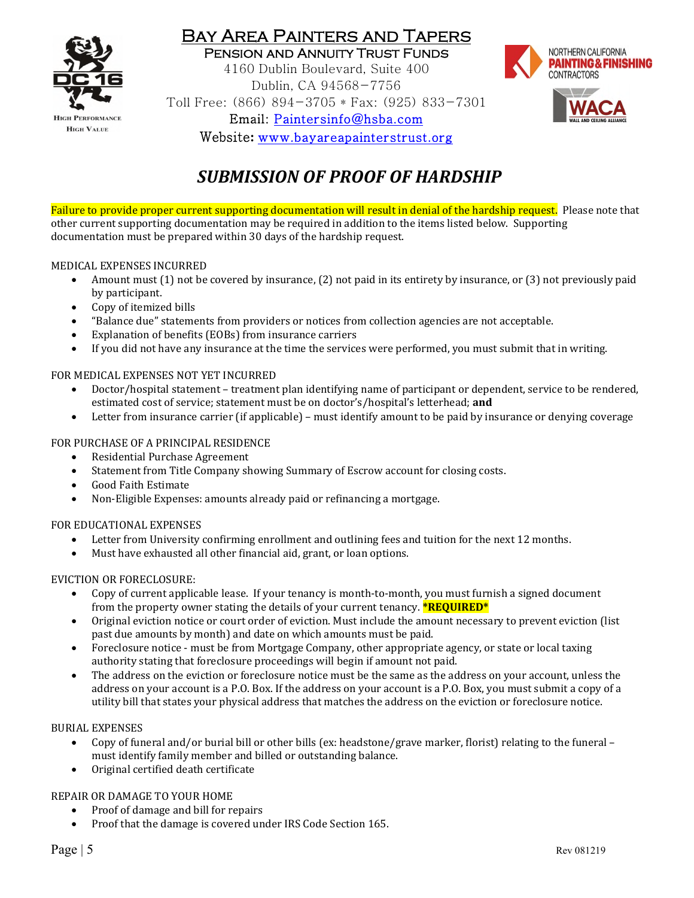

Pension and Annuity Trust Funds 4160 Dublin Boulevard, Suite 400 Dublin, CA 94568-7756 Toll Free: (866) 894-3705 \* Fax: (925) 833-7301 Email: Paintersinfo@hsba.com Website**:** www.bayareapainterstrust.org



# *SUBMISSION OF PROOF OF HARDSHIP*

Failure to provide proper current supporting documentation will result in denial of the hardship request. Please note that other current supporting documentation may be required in addition to the items listed below. Supporting documentation must be prepared within 30 days of the hardship request.

#### MEDICAL EXPENSES INCURRED

- Amount must (1) not be covered by insurance, (2) not paid in its entirety by insurance, or (3) not previously paid by participant.
- Copy of itemized bills
- "Balance due" statements from providers or notices from collection agencies are not acceptable.
- Explanation of benefits (EOBs) from insurance carriers
- If you did not have any insurance at the time the services were performed, you must submit that in writing.

#### FOR MEDICAL EXPENSES NOT YET INCURRED

- Doctor/hospital statement treatment plan identifying name of participant or dependent, service to be rendered, estimated cost of service; statement must be on doctor's/hospital's letterhead; **and**
- Letter from insurance carrier (if applicable) must identify amount to be paid by insurance or denying coverage

#### FOR PURCHASE OF A PRINCIPAL RESIDENCE

- Residential Purchase Agreement
- Statement from Title Company showing Summary of Escrow account for closing costs.
- Good Faith Estimate
- Non-Eligible Expenses: amounts already paid or refinancing a mortgage.

#### FOR EDUCATIONAL EXPENSES

- Letter from University confirming enrollment and outlining fees and tuition for the next 12 months.
- Must have exhausted all other financial aid, grant, or loan options.

#### EVICTION OR FORECLOSURE:

- Copy of current applicable lease. If your tenancy is month-to-month, you must furnish a signed document from the property owner stating the details of your current tenancy. **\*REQUIRED\***
- Original eviction notice or court order of eviction. Must include the amount necessary to prevent eviction (list past due amounts by month) and date on which amounts must be paid.
- Foreclosure notice must be from Mortgage Company, other appropriate agency, or state or local taxing authority stating that foreclosure proceedings will begin if amount not paid.
- The address on the eviction or foreclosure notice must be the same as the address on your account, unless the address on your account is a P.O. Box. If the address on your account is a P.O. Box, you must submit a copy of a utility bill that states your physical address that matches the address on the eviction or foreclosure notice.

#### BURIAL EXPENSES

- Copy of funeral and/or burial bill or other bills (ex: headstone/grave marker, florist) relating to the funeral must identify family member and billed or outstanding balance.
- Original certified death certificate

#### REPAIR OR DAMAGE TO YOUR HOME

- Proof of damage and bill for repairs
- Proof that the damage is covered under IRS Code Section 165.